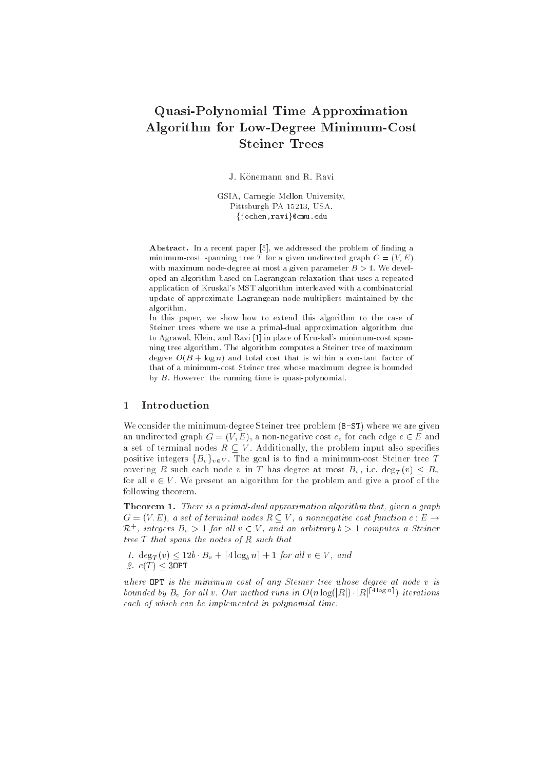# Quasi-Polynomial Time Approximation Algorithm for Low-Degree Minimum-Cost Steiner Trees

J. Könemann and R. Ravi

GSIA, Carnegie Mellon University, Pittsburgh PA 15213, USA. {jochen, ravi}@cmu.edu

Abstract. In a recent paper [5], we addressed the problem of finding a minimum-cost spanning tree T for a given undirected graph  $G = (V, E)$ with maximum node-degree at most a given parameter  $B > 1$ . We developed an algorithm based on Lagrangean relaxation that uses a repeated appli
ation of Kruskal's MST algorithm interleaved with a 
ombinatorial update of approximate Lagrangean node-multipliers maintained by the algorithm.

In this paper, we show how to extend this algorithm to the case of Steiner trees where we use a primal-dual approximation algorithm due to Agrawal, Klein, and Ravi [1] in place of Kruskal's minimum-cost spanning tree algorithm. The algorithm 
omputes a Steiner tree of maximum degree  $O(B + \log n)$  and total cost that is within a constant factor of that of a minimumost Steiner tree whose maximum degree is bounded by B. However, the running time is quasi-polynomial.

# 1 Introdu
tion

We consider the minimum-degree Steiner tree problem (B-ST) where we are given an undirected graph  $G = (V, E)$ , a non-negative cost  $c_e$  for each edge  $e \in E$  and a set of terminal nodes  $R \subseteq V$ . Additionally, the problem input also specifies positive integers  ${B_v}_{v \in V}$ . The goal is to find a minimum-cost Steiner tree T covering R such each node v in T has degree at most  $B_v$ , i.e.  $\deg_T(v) \leq B_v$ for all  $v \in V$ . We present an algorithm for the problem and give a proof of the following theorem.

Theorem 1. There is a primal-dual approximation algorithm that, given a graph  $G = (V, E)$ , a set of terminal nodes  $R \subseteq V$ , a nonnegative cost function  $c : E \rightarrow$  $\kappa^+$ , integers  $B_v > 1$  for all  $v \in V$ , and an arourary  $v > 1$  computes a Steiner tree  $T$  that spans the nodes of  $R$  such that

1.  $\deg_T(v) < 12b \cdot B_v + [4 \log_b n] + 1$  for all  $v \in V$ , and 2.  $c(T) < 30PT$ 

where OPT is the minimum cost of any Steiner tree whose degree at node v is bounded by  $D_v$  for all v. Our method runs in  $O(n \log(|R|) \cdot |R|^{1-\epsilon} \approx 1)$  iterations each of which can be implemented in polynomial time.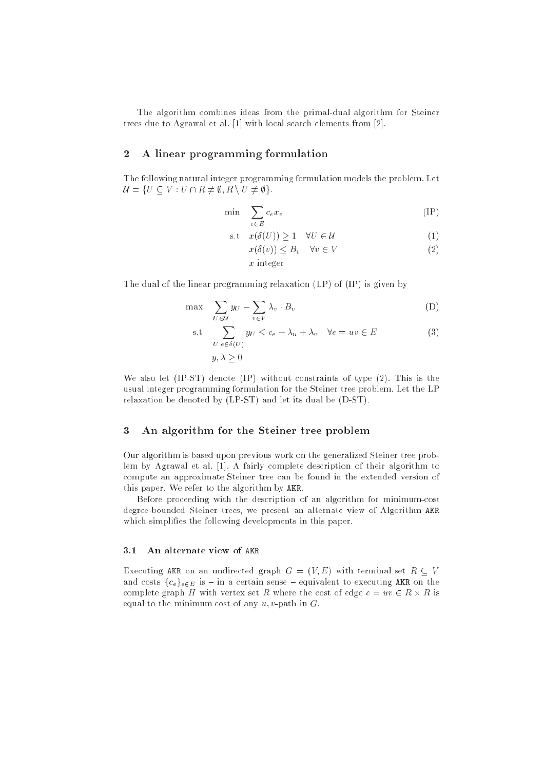The algorithm ombines ideas from the primal-dual algorithm for Steiner trees due to Agrawal et al.  $[1]$  with local search elements from  $[2]$ .

# 2 A linear programming formulation

The following natural integer programming formulation models the problem. Let U = f : d : d = f = { d = { d = { d = { d = { d = { d = { d = { d = { d = { d = { d = { d = { d = { d = { d = { d = { d = { d = { d = { d = { d = { d = { d = { d = { d = { d = { d = { d = { d = { d = { d = { d = { d = { d

$$
\min \sum_{e \in E} c_e x_e \tag{IP}
$$

$$
\text{s.t} \quad x(\delta(U)) \ge 1 \quad \forall U \in \mathcal{U} \tag{1}
$$

$$
x(\delta(v)) \leq B_v \quad \forall v \in V \tag{2}
$$

$$
x\ \mathrm{integer}
$$

The dual of the linear programming relaxation (LP) of (IP) is given by

$$
\max \sum_{U \in \mathcal{U}} y_U - \sum_{v \in V} \lambda_v \cdot B_v \tag{D}
$$

s.t 
$$
\sum_{U:e \in \delta(U)} y_U \le c_e + \lambda_u + \lambda_v \quad \forall e = uv \in E
$$

$$
y, \lambda \ge 0
$$
 (3)

We also let (IP-ST) denote (IP) without constraints of type (2). This is the usual integer programming formulation for the Steiner tree problem. Let the LP relaxation be denoted by (LP-ST) and let its dual be (D-ST).

# 3 An algorithm for the Steiner tree problem

Our algorithm is based upon previous work on the generalized Steiner tree problem by Agrawal et al. [1]. A fairly complete description of their algorithm to ompute an approximate Steiner tree an be found in the extended version of this paper. We refer to the algorithm by AKR.

Before proceeding with the description of an algorithm for minimum-cost degree-bounded Steiner trees, we present an alternate view of Algorithm AKR which simplifies the following developments in this paper.

### 3.1 An alternate view of AKR

Executing AKR on an undirected graph  $G = (V, E)$  with terminal set  $R \subseteq V$ and costs  ${c_e}_{eE}$  is - in a certain sense - equivalent to executing AKR on the orthogen graph H with vertex set R with vertex set and the set R with R with  $\sim$ equal to the minimum cost of any  $u, v$ -path in  $G$ .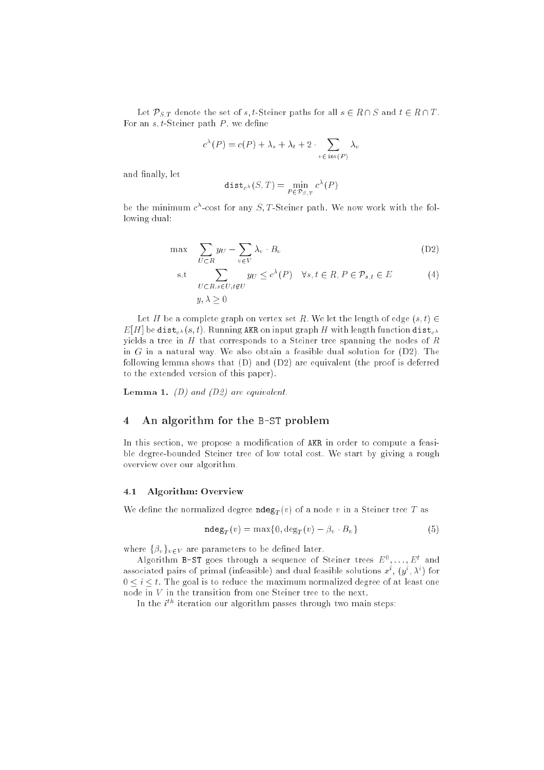Let  $\mathcal{P}_{S,T}$  denote the set of s, t-Steiner paths for all  $s \in R \cap S$  and  $t \in R \cap T$ . For an  $s, t$ -Steiner path  $P$ , we define

$$
c^{\lambda}(P) = c(P) + \lambda_s + \lambda_t + 2 \cdot \sum_{v \in \text{int}(P)} \lambda_v
$$

and finally, let

$$
\operatorname{dist}_{c^{\lambda}}(S,T) = \min_{P \in \mathcal{P}_{S,T}} c^{\lambda}(P)
$$

be the minimum  $c$  -cost for any  $S/I$ -Steiner path. We now work with the following dual:

$$
\max \sum_{U \subset R} y_U - \sum_{v \in V} \lambda_v \cdot B_v \tag{D2}
$$

s.t 
$$
\sum_{U \subset R, s \in U, t \notin U} y_U \le c^{\lambda}(P) \quad \forall s, t \in R, P \in \mathcal{P}_{s,t} \in E
$$

$$
y, \lambda > 0
$$
 (4)

Let H be a complete graph on vertex set R. We let the length of edge  $(s, t) \in$  $E[H]$  be dist<sub>c</sub> (s, t). Running AKR on input graph H with length function dist<sub>c</sub> yields a tree in  $H$  that corresponds to a Steiner tree spanning the nodes of  $R$ in  $G$  in a natural way. We also obtain a feasible dual solution for  $(D2)$ . The following lemma shows that (D) and (D2) are equivalent (the proof is deferred to the extended version of this paper).

**Lemma 1.** (D) and (D2) are equivalent.

# 4 An algorithm for the B-ST problem

In this section, we propose a modification of AKR in order to compute a feasible degree-bounded Steiner tree of low total 
ost. We start by giving a rough overview over our algorithm.

#### 4.1 Algorithm: Overview

We define the normalized degree  $\texttt{ndeg}_T(v)$  of a node v in a Steiner tree T as

$$
\mathbf{ndeg}_T(v) = \max\{0, \deg_T(v) - \beta_v \cdot B_v\} \tag{5}
$$

where  $\{\beta_v\}_{v\in V}$  are parameters to be defined later.

Algorithm  $\texttt{B-DI}$  goes through a sequence of Steiner trees  $E^{\top}, \ldots, E^{\top}$  and associated pairs of primal (infeasible) and dual feasible solutions  $x^*$  ,  $(y^*, \lambda^*)$  for  $0 \leq i \leq t$ . The goal is to reduce the maximum normalized degree of at least one node in <sup>V</sup> in the transition from one Steiner tree to the next.

In the  $i^{\ldots}$  refation our algorithm passes through two main steps: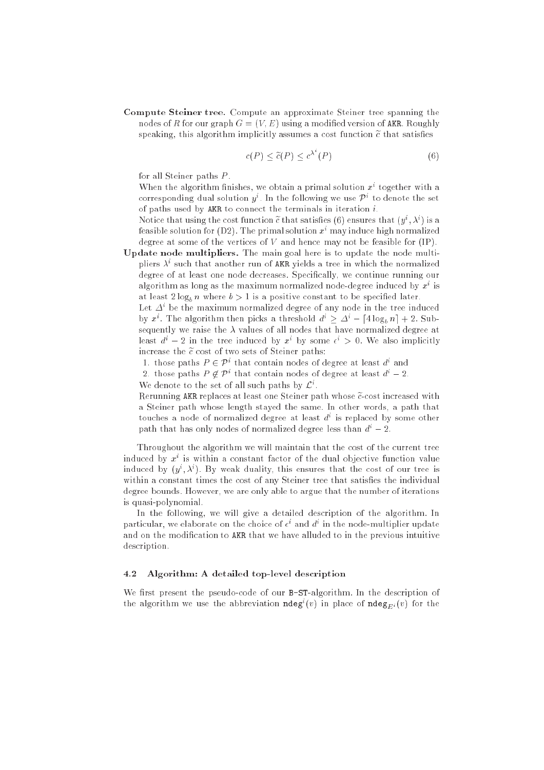Compute Steiner tree. Compute an approximate Steiner tree spanning the nodes of R for our graph  $G = (V, E)$  using a modified version of AKR. Roughly speaking, this algorithm implicitly assumes a cost function  $\tilde{c}$  that satisfies

$$
c(P) \le \tilde{c}(P) \le c^{\lambda^*}(P) \tag{6}
$$

for all Steiner paths <sup>P</sup> .

When the algorithm finishes, we obtain a primal solution  $x^+$  together with a corresponding dual solution  $y$  . In the following we use  $P^+$  to denote the set of paths used by AKR to 
onne
t the terminals in iteration i.

induce that using the cost function  $c$  that satisfies (0) ensures that  $(y^\ast, \lambda^\ast)$  is a feasible solution for  $(D2)$ . The primal solution  $x<sup>i</sup>$  may induce high normalized degree at some of the vertices of  $V$  and hence may not be feasible for  $(IP)$ .

Update node multipliers. The main goal here is to update the node multiphers A such that another run of AKR yields a tree in which the normalized degree of at least one node decreases. Specifically, we continue running our algorithm as long as the maximum normalized node-degree induced by  $x^\downarrow$  is at least  $2 \log_b n$  where  $b > 1$  is a positive constant to be specified later.

Let  $\Delta^*$  be the maximum normalized degree of any node in the tree induced by x: The algorithm then picks a threshold  $a^r \geq \Delta^r = |4 \log_b n| + 2$ . Subsequently we raise the  $\lambda$  values of all nodes that have normalized degree at least  $a^* - z$  in the tree induced by x by some  $\epsilon^* > 0$ . We also implicitly increase the  $\tilde{c}$  cost of two sets of Steiner paths:

- 1. those paths  $P \in \mathcal{P}^*$  that contain nodes of degree at least  $a^*$  and
- 2. those paths  $P \not\vdash P$  that contain nodes of degree at least  $d^* = 2$ .

We denote to the set of all such paths by  $\mathcal{L}$ .

Rerunning AKR replaces at least one Steiner path whose  $\tilde{c}$ -cost increased with a Steiner path whose length stayed the same. In other words, a path that touches a node of normalized degree at least  $a^+$  is replaced by some other path that has only nodes of normalized degree less than  $d^{i} - 2$ .

Throughout the algorithm we will maintain that the cost of the current tree induced by  $x^+$  is within a constant factor of the dual objective function value induced by  $(y^*, \lambda^*)$ . By weak duality, this ensures that the cost of our tree is within a constant times the cost of any Steiner tree that satisfies the individual degree bounds. However, we are only able to argue that the number of iterations is quasi-polynomial.

In the following, we will give a detailed description of the algorithm. In particular, we elaborate on the choice of  $\epsilon^*$  and  $a^*$  in the node-multiplier update and on the modification to AKR that we have alluded to in the previous intuitive des
ription.

### 4.2 Algorithm: A detailed top-level des
ription

We first present the pseudo-code of our B-ST-algorithm. In the description of the algorithm we use the abbreviation  $\texttt{naeg}(v)$  in place of  $\texttt{naeg}_{E^i}(v)$  for the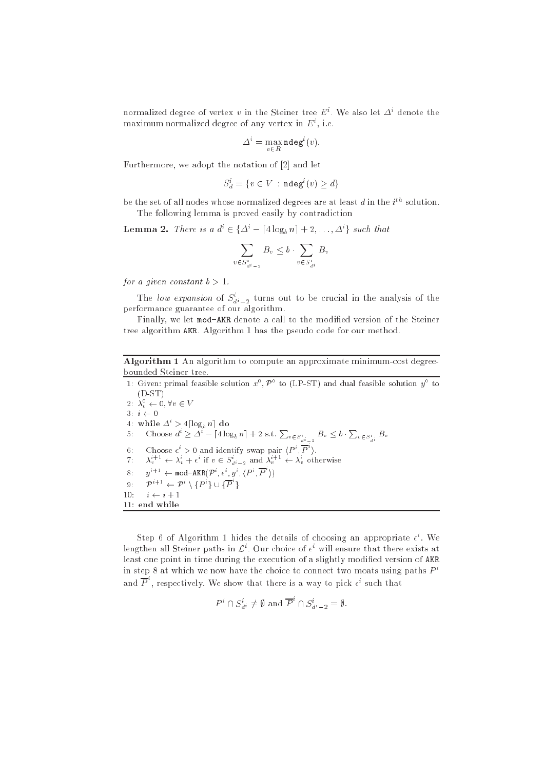normalized degree of vertex  $v$  in the Steiner tree  $E$  . We also let  $\varDelta^*$  denote the maximum normalized degree of any vertex in  $E^+$ , i.e.

$$
\Delta^i = \max_{v \in R} \mathrm{ndeg}^i(v).
$$

Furthermore, we adopt the notation of  $[2]$  and let

$$
S_d^i = \{v \in V \,:\, \mathtt{ndeg}^i(v) \geq d\}
$$

be the set of all nodes whose normalized degrees are at least  $a$  in the  $i^{...}$  solution. The following lemma is proved easily by contradiction

**Lemma 2.** Inere is a  $a^r \in \{\Delta^r - |4\log_b n| + 2, \ldots, \Delta^r\}$  such that

$$
\sum_{v \in S_{d^i-2}^i} B_v \le b \cdot \sum_{v \in S_{d^i}^i} B_v
$$

for a given constant  $b > 1$ .

The low expansion of  $S_{d^i-2}$  turns out to be crucial in the analysis of the performan
e guarantee of our algorithm.

Finally, we let mod-AKR denote a call to the modified version of the Steiner tree algorithm AKR. Algorithm 1 has the pseudo 
ode for our method.

Algorithm 1 An algorithm to compute an approximate minimum-cost degreebounded Steiner tree.

1: Given: primal feasible solution  $x^*, F^*$  to (LP-S1) and dual feasible solution  $y^*$  to  $(D-ST)$ 2:  $\lambda_v \leftarrow 0, \forall v \in V$ 3:  $i \leftarrow 0$ 4: while  $\Delta^* > 4 \log_b n$  do 5: Choose  $d^i \geq \Delta^i - \left[4\log_b n\right] + 2$  s.t.  $\sum_{v \in S^i_{d^i-2}} B_v \leq b \cdot \sum_{v \in S^i_{d^i}} B_v$ 6: Choose  $\epsilon^i > 0$  and identify swap pair  $\langle P^i, P^i \rangle$ .<br>7:  $\lambda_v^{i+1} \leftarrow \lambda_v^i + \epsilon^i$  if  $v \in S_{di-2}^i$  and  $\lambda_v^{i+1} \leftarrow \lambda_v^i$  otherwise 8:  $u^{i+1} \leftarrow \text{mod-AKR}(\mathcal{P}^i, \epsilon^i, u^i, (P^i, P^i))$ 9:  $\mathcal{P}^{i+1} \leftarrow \mathcal{P}^i \setminus \{P^i\} \cup \{P^i\}$ 10:  $i \leftarrow i + 1$ 11: end while

 $\mathfrak{so}$  tep  $\mathfrak o$  of Algorithm 1 maes the details of choosing an appropriate  $\epsilon$  . We ienguien all Steiner paths in  $\mathcal{L}$  . Our choice of  $\epsilon$  will ensure that there exists at least one point in time during the execution of a slightly modified version of AKR in step 8 at which we now have the choice to connect two moats using paths  $P<sup>i</sup>$ and P, respectively. We show that there is a way to pick  $\epsilon^i$  such that

$$
P^i \cap S_{d^i}^i \neq \emptyset \text{ and } \overline{P}^i \cap S_{d^i-2}^i = \emptyset.
$$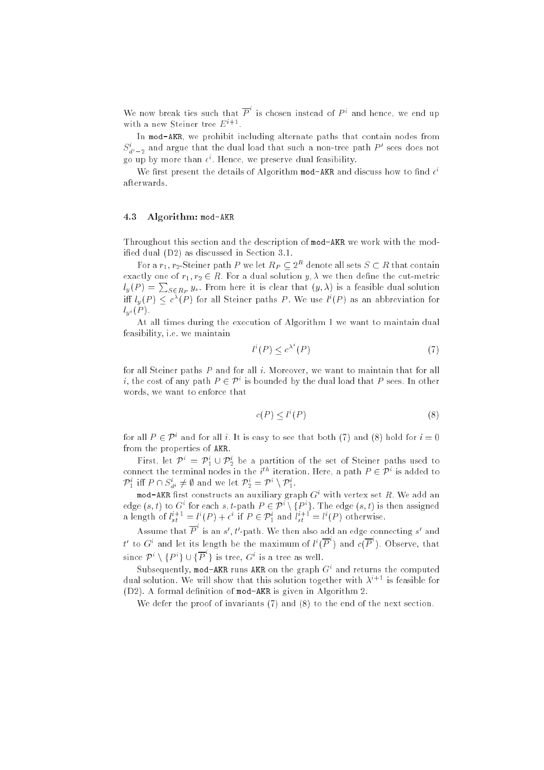We now break ties such that P is chosen instead of  $P<sup>i</sup>$  and hence, we end up with a new steiner tree  $E^+$ .

In mod-AKR, we prohibit including alternate paths that contain nodes from  $S_{d^i-2}$  and argue that the dual load that such a non-tree path  $P$  sees does not go up by more than  $\epsilon$  . Hence, we preserve qual feasibility.

We first present the details of Algorithm mod-AKR and discuss now to find  $\epsilon^*$ afterwards.

#### 4.3 Algorithm: mod-AKR

Throughout this se
tion and the des
ription of mod-AKR we work with the modified dual (D2) as discussed in Section 3.1.

For a  $r_1, r_2$ -Steiner path P we let  $\Lambda_P \subset 2^{**}$  denote all sets  $S \subset \Lambda$  that contain the control of r1; r2  $\in$  and for a dual solution y; we then defined the case of the solution  $l_y(P) = \sum_{S \in R_D} y_s$ . From here it is clear that  $(y, \lambda)$  is a feasible dual solution iff  $l_y(P) \leq c^{\lambda}(P)$  for all Steiner paths P. We use  $l^{i}(P)$  as an abbreviation for  $l_{\mu i}(P)$ .

At all times during the execution of Algorithm 1 we want to maintain dual feasibility, i.e. we maintain

$$
l^i(P) \le c^{\lambda^i}(P) \tag{7}
$$

for all Steiner paths  $P$  and for all  $i$ . Moreover, we want to maintain that for all  $i$ , the cost of any path  $P \in \mathcal{P}^+$  is bounded by the dual load that  $P$  sees. In other words, we want to enfor
e that

$$
c(P) \le l^i(P) \tag{8}
$$

for all  $P \in \mathcal{P}^+$  and for all  $i$ . It is easy to see that both (1) and (8) hold for  $i \equiv 0$ from the properties of AKR.

 $\mathbf{r}$  irst, let  $\mathcal{P}^* = \mathcal{P}_1 \cup \mathcal{P}_2$  be a partition of the set of Steiner paths used to connect the terminal nodes in the  $i^{\,\cdots\,}$  iteration. Here, a path  $P\in {\cal P}^{\,\cdots}$  is added to  $P_1$  in  $P \cap S_d$ ,  $\neq \emptyset$  and we let  $P_2 = P \setminus P_1$ .

mod-AKR lirst constructs an auxiliary graph Gi with vertex set  $R$ . We add an edge (s, t) to G ior each s, t-path  $P \in P \setminus \{P^*\}$ . The edge (s, t) is then assigned a length of  $l_{st}^{+1}$  =  $l^{+}(P)$  +  $\epsilon^{+}$  if  $P \in \mathcal{P}_1^{+}$  and  $l_{st}^{+1}$  =  $l^{+}(P)$  otherwise.

Assume that P is an  $s'$ , t'-path. We then also add an edge connecting s' and t' to  $G^i$  and let its length be the maximum of  $l^i(P)$  and  $c(P)$ . Observe, that since  $\mathcal{P}^i \setminus \{P^i\} \cup \{P^i\}$  is tree,  $G^i$  is a tree as well.

Subsequently, mod-AKR runs AKR on the graph Gi and returns the 
omputed dual solution. We will show that this solution together with  $\lambda^{i+1}$  is feasible for  $(D2)$ . A formal definition of mod-AKR is given in Algorithm 2.

We defer the proof of invariants  $(7)$  and  $(8)$  to the end of the next section.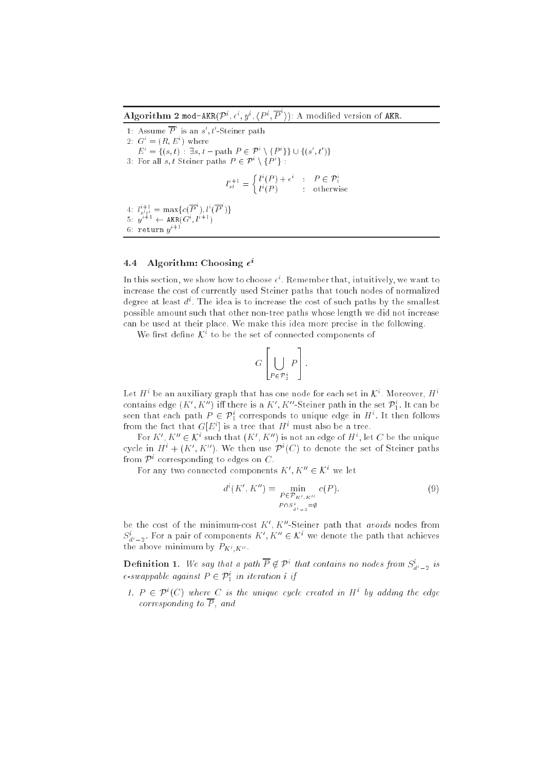Algorithm 2 mod-AKR $(\mathcal{P}^i, \epsilon^i, y^i, (P^i, P^i))$ : A modified version of AKR.

1: Assume  $P$  is an  $s'$ ,  $t'$ -Steiner path 2:  $G^{\dagger} = (K, E^{\dagger})$  where  $E_i = \{(s, t) : \exists s, t - \text{path } P \in P \setminus \{P^r\} \} \cup \{(s, t)\}\$ 3: For all s, t Steiner paths  $P \in \mathcal{P} \setminus \{P\}$ :  $l_{st}$  =  $\int l^{i}(P) + \epsilon^{i}$  :  $P \in \mathcal{P}_{1}^{i}$  $l^{\dagger}$  : otherwise 4:  $l_{s't'}^{\dagger} = \max\{c(P^{\dagger}), l^{\dagger}(P^{\dagger})\}$ 5:  $y^{i+1} \leftarrow \text{AKR}(G^i, l^{i+1})$ 6: return  $u^{i+1}$ 

# 4.4 Algorithm: Choosing  $\epsilon^i$

In this section, we show how to choose  $\epsilon^*$ . Remember that, intuitively, we want to increase the cost of currently used Steiner paths that touch nodes of normalized degree at least  $a^*$ . The idea is to increase the cost of such paths by the smallest possible amount such that other non-tree paths whose length we did not increase an be used at their pla
e. We make this idea more pre
ise in the following.

we first define  $\mathcal{N}^+$  to be the set of connected components of

<sup>2</sup>

$$
G\left[\bigcup_{P\in\mathcal{P}_2^i}P\right].
$$

- 1

Let  $\pi$  be an auxiliary graph that has one node for each set in  $\kappa$  . Moreover,  $\pi$  : contains edge  $(K_0, K_-)$  in there is a  $K_0, K_-$  -Steiner path in the set  $P_1^c$ . It can be seen that each path  $P \in \mathcal{P}_1^+$  corresponds to unique edge in  $H^+$ . It then follows from the fact that  $G[E^i]$  is a tree that  $H^i$  must also be a tree.

For  $K$  ,  $K$   $\in$   $\mathcal{N}$  such that  $(K,K)$  is not an edge of  $H$  , let  $C$  be the unique cycle in  $H^+ + (K^-, K^-)$ , we then use  $P^+ (C^+ )$  to denote the set of Steiner paths from  $P^+$  corresponding to edges on  $\mathbb C$  .

for any two connected components  $K$  ,  $K$   $\in$   $\mathcal{K}^+$  we let

 $\overline{\phantom{a}}$ 

$$
d^{i}(K', K'') = \min_{\substack{P \in \mathcal{P}_{K', K''} \\ P \cap S_{\hat{H}-2}^i = \emptyset}} c(P).
$$
\n(9)

be the cost of the minimum-cost  $K$  . A -Steiner path that *avoids* nodes from  $S_{d^i-2}$ . For a pair of components  $\Lambda$ ,  $\Lambda$   $\in \mathcal{N}$  we denote the path that achieves  $\mathfrak{g}_{\mathfrak{g}}$  above minimum by PKO $\mathfrak{g}_{\mathfrak{g}}$ 

**Definition 1.** We say that a path  $P \notin P^*$  that contains no nodes from  $S_{di-2}$  is  $\epsilon$ -swappable against  $F \in {\mathcal F}_1^+$  in iteration  $i$  if

1.  $F \in \mathcal{F}^1(\mathbb{C})$  where  $\mathbb{C}^1$  is the unique cycle created in  $\Pi^1$  by adding the edge corresponding to  $\overline{P}$ , and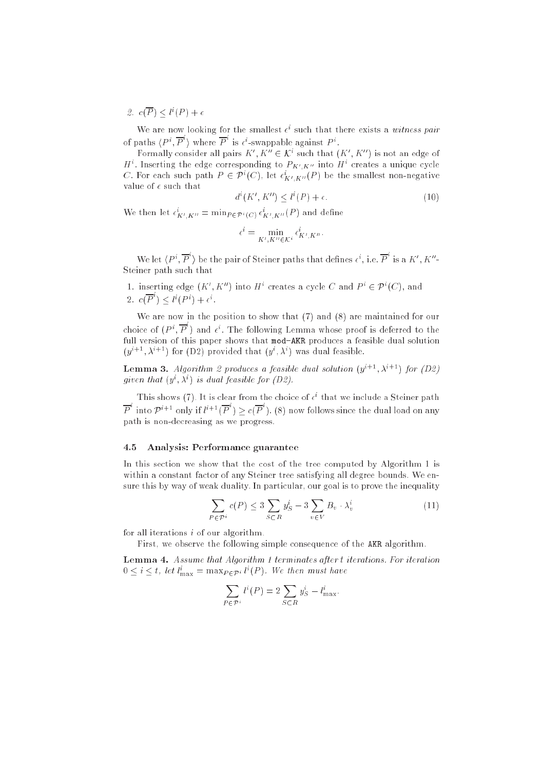$\mathcal{Z}$ .  $c(F) \leq C(F) + \epsilon$ 

We are now looking for the smallest  $\epsilon^*$  such that there exists a withess pair of paths  $\langle P^i, P^i \rangle$  where P is  $\epsilon^i$ -swappable against  $P^i$ .

Formally consider all pairs  $K_+K_- \in \mathcal{K}^+$  such that  $(K_+K_-)$  is not an edge of  $H^+$ . Inserting the edge corresponding to  $F_{K^0|K^0}$  into  $H^+$  creates a unique cycle C. For each such path  $F \in \mathcal{F}^1(\mathbb{C})$ , let  $\epsilon_{K^I, K^II}(F)$  be the smallest non-negative value of  $\epsilon$  such that

$$
d^{i}(K', K'') \le l^{i}(P) + \epsilon. \tag{10}
$$

we then let  $\epsilon_{K',K''} = \min_{P \in \mathcal{P}^i(C)} \epsilon_{K',K''}(P)$  and define

$$
\epsilon^i = \min_{K', K'' \in \mathcal{K}^i} \epsilon^i_{K', K''}.
$$

We let  $\langle P^i, P^i \rangle$  be the pair of Steiner paths that defines  $\epsilon^i$ , i.e. P is a K', K''-Steiner path such that

1. Inserting edge  $(K, K)$  into H creates a cycle U and  $P^+ \in P^+(U)$ , and 2.  $c(P^{\dagger}) < l^{\dagger}(P^{\dagger}) + \epsilon^{\dagger}$ .

We are now in the position to show that (7) and (8) are maintained for our choice of  $(P^i, P^i)$  and  $\epsilon^i$ . The following Lemma whose proof is deferred to the full version of this paper shows that mod-AKR produces a feasible dual solution  $(y^{\alpha+\beta}, \lambda^{\alpha+\beta})$  for  $(D2)$  provided that  $(y^{\alpha}, \lambda^{\beta})$  was dual feasible.

**Lemma 5.** Algorithm  $\mathcal{Z}$  produces a feasible dual solution  $(y^{\alpha_1 + \beta_2 + \gamma_3 + \gamma_4})$  for  $(D\mathcal{Z})$ given that  $(y, x)$  is dual feasible for  $(Dz)$ .

I mis shows (1). It is clear from the choice of  $\epsilon^*$  that we include a Steiner path P into  $\mathcal{P}^{i+1}$  only if  $\ell^{i+1}(P) > c(P)$ . (8) now follows since the dual load on any path is non-de
reasing as we progress.

#### 4.5 Analysis: Performan
e guarantee  $4.5$

In this section we show that the cost of the tree computed by Algorithm 1 is within a constant factor of any Steiner tree satisfying all degree bounds. We ensure this by way of weak duality. In particular, our goal is to prove the inequality

$$
\sum_{P \in \mathcal{P}^i} c(P) \le 3 \sum_{S \subset R} y_S^i - 3 \sum_{v \in V} B_v \cdot \lambda_v^i \tag{11}
$$

for all iterations  $i$  of our algorithm.

First, we observe the following simple consequence of the AKR algorithm.

Lemma 4. Assume that Algorithm 1 terminates after <sup>t</sup> iterations. For iteration  $0 \leq i \leq t$ , let  $t_{\max} = \max_{P \in \mathcal{P}} t_i(r)$ . We then must have

$$
\sum_{P \in \mathcal{P}^i} l^i(P) = 2 \sum_{S \subset R} y_S^i - l_{\text{max}}^i.
$$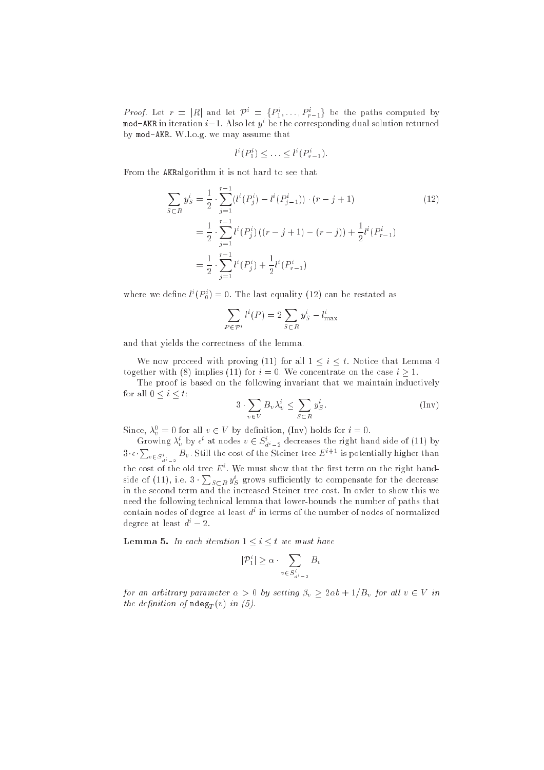*Proof.* Let  $r = |K|$  and let  $P^+ = \{P_1, \ldots, P_{r-1}\}$  be the paths computed by <code>mod-AKR</code> in iteration  $\imath-1.$  Also let  $y^+$  be the corresponding dual solution returned by mod-AKR. W.l.o.g. we may assume that

$$
l^i(P_1^i) \leq \ldots \leq l^i(P_{r-1}^i).
$$

From the AKRalgorithm it is not hard to see that

$$
\sum_{S \subset R} y_S^i = \frac{1}{2} \cdot \sum_{j=1}^{r-1} (l^i(P_j^i) - l^i(P_{j-1}^i)) \cdot (r - j + 1)
$$
\n
$$
= \frac{1}{2} \cdot \sum_{j=1}^{r-1} l^i(P_j^i) \left( (r - j + 1) - (r - j) \right) + \frac{1}{2} l^i(P_{r-1}^i)
$$
\n
$$
= \frac{1}{2} \cdot \sum_{j=1}^{r-1} l^i(P_j^i) + \frac{1}{2} l^i(P_{r-1}^i)
$$
\n(12)

where we define  $\iota^*(\Gamma_0) = 0$ . The fast equality (12) can be restated as

$$
\sum_{P \in \mathcal{P}^i} l^i(P) = 2 \sum_{S \subset R} y_S^i - l_{\text{max}}^i
$$

and that yields the 
orre
tness of the lemma.

We now proceed with proving (11) for all  $1 \leq i \leq t$ . Notice that Lemma 4 together with (8) implies (11) for  $i = 0$ . We concentrate on the case  $i \ge 1$ .

The proof is based on the following invariant that we maintain inductively for all  $0 \leq i \leq t$ :

$$
3 \cdot \sum_{v \in V} B_v \lambda_v^i \le \sum_{S \subset R} y_S^i.
$$
 (Inv)

Since,  $\lambda_v = 0$  for all  $v \in V$  by definition, (finy) holds for  $i = 0$ .

Growing  $\lambda_v^*$  by  $\epsilon^*$  at nodes  $v \in S_{d^i-2}$  decreases the right hand side of (11) by  $3 \cdot \epsilon \cdot \sum_{v \in S^i_{d^i-2}} B_v$ . Still the cost of the Steiner tree  $E^{i+1}$  is potentially higher than the cost of the old tree  $E$  . We must show that the first term on the right handside of (11), i.e.  $3 \cdot \sum_{S \subset R} y_S^i$  grows sufficiently to compensate for the decrease in the second term and the increased Steiner tree cost. In order to show this we need the following technical lemma that lower-bounds the number of paths that contain nodes of degree at least  $a^\ast$  in terms of the number of nodes of normalized degree at least  $d^{i} - 2$ .

**Lemma 5.** In each iteration  $1 \leq i \leq t$  we must have

$$
|\mathcal{P}_1^i| \ge \alpha \cdot \sum_{v \in S_{d^i-2}^i} B_v
$$

for an arbitrary parameter  $\alpha > 0$  by setting  $\beta_v \geq 2\alpha b + 1/B_v$  for all  $v \in V$  in the definition of  $\texttt{ndeg}_T(v)$  in (5).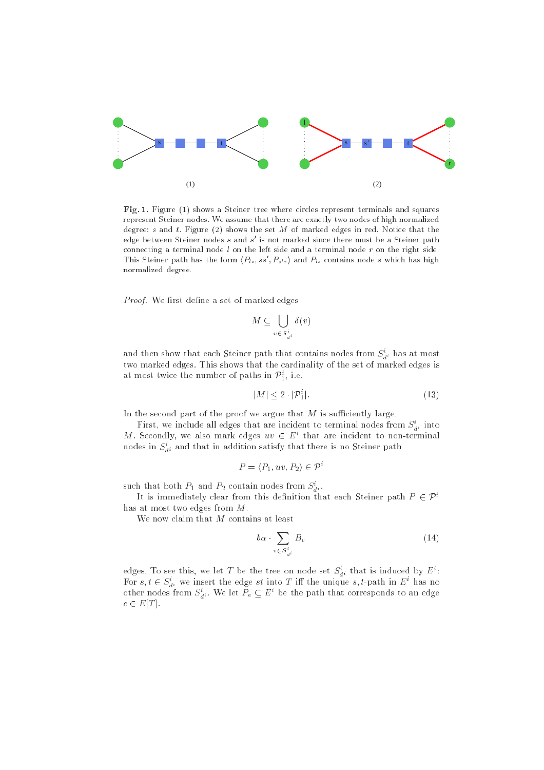

Fig. 1. Figure (1) shows a Steiner tree where circles represent terminals and squares represent Steiner nodes. We assume that there are exa
tly two nodes of high normalized degree:  $s$  and  $t$ . Figure (2) shows the set  $M$  of marked edges in red. Notice that the edge between Steiner nodes  $s$  and  $s$  is not marked since there must be a Steiner path connecting a terminal node  $l$  on the left side and a terminal node  $r$  on the right side. This Steiner path has the form  $\langle P_{ls}, ss, P_{s'r} \rangle$  and  $P_{ls}$  contains node s which has high normalized degree.

Proof. We first define a set of marked edges

$$
M \subseteq \bigcup_{v \in S_{d^i}^i} \delta(v)
$$

and then show that each steller path that contains hodes from  $\mathcal{A}_{di}$  has at most two marked edges. This shows that the 
ardinality of the set of marked edges is at most twice the number of paths in  $\overline{P}_1^1,$  i.e.

$$
|M| \le 2 \cdot |\mathcal{P}_1^i|.\tag{13}
$$

In the second part of the proof we argue that  $M$  is sufficiently large.

 $\mathbf r$  irst, we include all edges that are incluent to terminal nodes from  $S_{di}$  into  $m$  . Secondly, we also mark edges  $uv \in E^+$  that are incluent to non-terminal nodes in  $S_{\tilde{d}^i}$  and that in addition satisfy that there is no Steiner path

$$
P = \langle P_1, uv, P_2 \rangle \in \mathcal{P}^i
$$

such that both  $P_1$  and  $P_2$  contain nodes from  $S_{\vec d^{\,i}}$  .

It is immediately clear from this definition that each Steiner path  $P \in \mathcal{P}^i$ has at most two edges from M.

We now claim that  $M$  contains at least

$$
b\alpha \cdot \sum_{v \in S_{di}^i} B_v \tag{14}
$$

edges. To see this, we let T be the tree on node set  $S_{d^i}$  that is induced by  $E^{\pm}$ : For  $s, t \in S_d$ ; we insert the edge st into T in the unique  $s, t$ -path in E has no<br>other nodes from  $S_d^i$ . We let  $P_e \subseteq E^i$  be the path that corresponds to an edge  $e \in E[T]$ .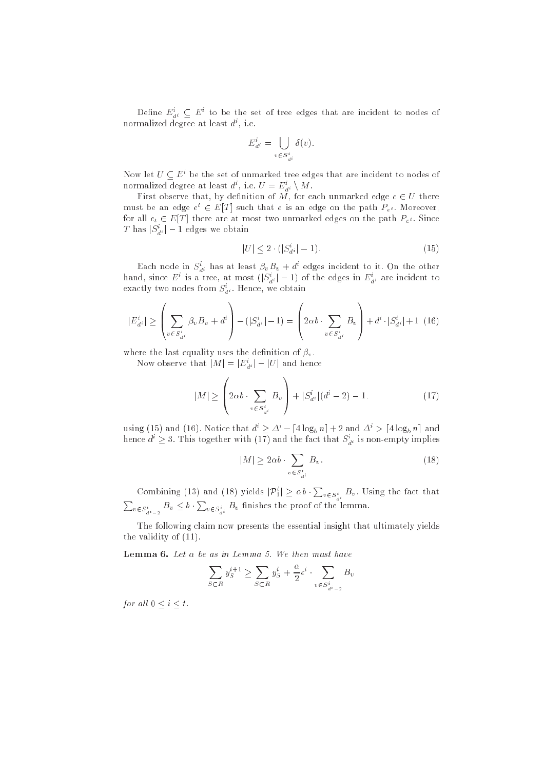Denne  $E_{\tilde{d}^i} \subseteq E^{\perp}$  to be the set of tree edges that are incluent to nodes of normalized degree at least  $a^{\cdot}$ , i.e.

$$
E_{d^i}^i = \bigcup_{v \in S_{d^i}^i} \delta(v).
$$

Now let  $U\subseteq E^+$  be the set of unmarked tree edges that are incluent to nodes of normalized degree at least  $a^*$  , i.e.  $\psi \equiv E_{\hat{d}^i} \setminus M$  .

First observe that, by denition of M, for ea
h unmarked edge <sup>e</sup> <sup>2</sup> <sup>U</sup> there must be an edge  $e^+ \in E|T|$  such that  $e$  is an edge on the path  $P_{e^t}.$  Moreover, for all  $e_t \in E[T]$  there are at most two unmarked edges on the path  $P_{e^t}$ . Since  $I$  has  $|\mathcal{S}_{d^i}| = 1$  edges we obtain

$$
|U| \le 2 \cdot (|S_{d^i}^i| - 1). \tag{15}
$$

each node in  $S_{d^i}$  has at least  $\rho_vB_v+a^*$  edges incluent to it. On the other hand, since  $E^*$  is a tree, at most  $(|S_{di}| - 1)$  of the edges in  $E_{di}^*$  are incluent to exactly two nodes from  $S_{d^i}$  . Hence, we obtain

$$
|E_{d^i}^i| \ge \left(\sum_{v \in S_{d^i}^i} \beta_v B_v + d^i\right) - (|S_{d^i}^i| - 1) = \left(2\alpha b \cdot \sum_{v \in S_{d^i}^i} B_v\right) + d^i \cdot |S_{d^i}^i| + 1 \tag{16}
$$

<sup>1</sup>

where the last equality uses the definition of  $\beta_v$ .

Now observe that  $|M| = |E_{\hat{d}^i}| = |U|$  and hence  $\overline{\phantom{0}}$ 

$$
|M| \ge \left(2\alpha b \cdot \sum_{v \in S_{di}^{i}} B_{v}\right) + |S_{di}^{i}|(d^{i} - 2) - 1.
$$
 (17)

using (15) and (16). Notice that  $d^i > \Delta^i - [4\log_b n] + 2$  and  $\Delta^i > [4\log_b n]$  and hence  $a^2 \geq 3$ . This together with (17) and the fact that  $S_{d^i}$  is non-empty implies

$$
|M| \ge 2\alpha b \cdot \sum_{v \in S_{di}^i} B_v. \tag{18}
$$

Combining (13) and (18) yields  $|\mathcal{P}_1^i| \ge \alpha b \cdot \sum_{v \in S_{d^i}^i} B_v$ . Using the fact that <sup>P</sup>  $v \in S_{d^i-2}^i$   $B_v \leq b \cdot \sum_{v \in S_{d^i}^i} B_v$  finishes the proof of the lemma.

The following claim now presents the essential insight that ultimately yields the validity of (11).

**Lemma 6.** Let  $\alpha$  be as in Lemma 5. We then must have

$$
\sum_{S \subset R} y_S^{i+1} \ge \sum_{S \subset R} y_S^i + \frac{\alpha}{2} \epsilon^i \cdot \sum_{v \in S_{d^i - 2}^i} B_v
$$

for all  $0 \leq i \leq t$ .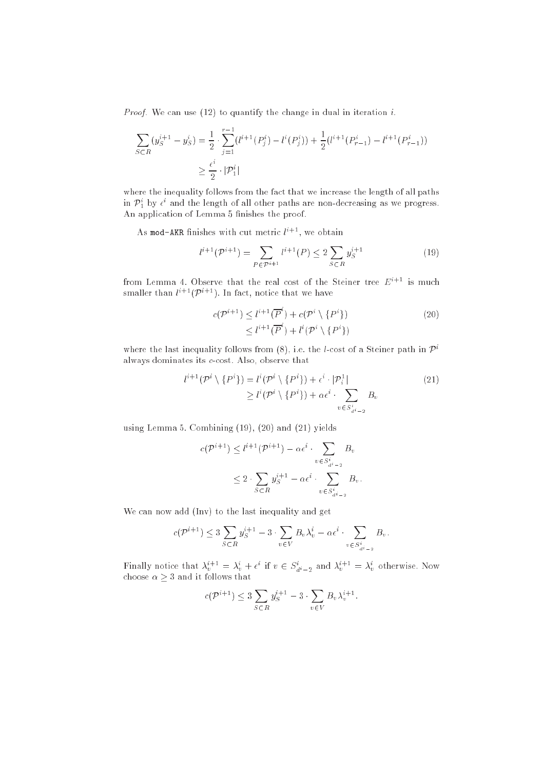*Proof.* We can use (12) to quantify the change in dual in iteration i.

$$
\sum_{S \subset R} (y_S^{i+1} - y_S^i) = \frac{1}{2} \cdot \sum_{j=1}^{r-1} (l^{i+1}(P_j^i) - l^i(P_j^i)) + \frac{1}{2} (l^{i+1}(P_{r-1}^i) - l^{i+1}(P_{r-1}^i))
$$
  

$$
\geq \frac{\epsilon^i}{2} \cdot |\mathcal{P}_1^i|
$$

where the inequality follows from the fact that we increase the length of all paths in  $P_1^*$  by  $\epsilon^*$  and the length of all other paths are non-decreasing as we progress. An appli
ation of Lemma 5 nishes the proof.

As mod-AKR inishes with cut metric  $\iota^{++}$  , we obtain

$$
l^{i+1}(\mathcal{P}^{i+1}) = \sum_{P \in \mathcal{P}^{i+1}} l^{i+1}(P) \le 2 \sum_{S \subset R} y_S^{i+1}
$$
 (19)

from Lemma 4. Observe that the real cost of the Steiner tree  $E^{i+1}$  is much smaller than  $\iota^{++}$  (Pittler). In fact, notice that we have

$$
c(\mathcal{P}^{i+1}) \leq l^{i+1}(\overline{P}^i) + c(\mathcal{P}^i \setminus \{P^i\})
$$
  
 
$$
\leq l^{i+1}(\overline{P}^i) + l^i(\mathcal{P}^i \setminus \{P^i\})
$$
 (20)

where the last inequality follows from  $(8)$ , i.e. the *l*-cost of a Steiner path in  $\mathcal{P}^i$ always dominates its *c*-cost. Also, observe that

$$
l^{i+1}(\mathcal{P}^i \setminus \{P^i\}) = l^i(\mathcal{P}^i \setminus \{P^i\}) + \epsilon^i \cdot |\mathcal{P}_i^1|
$$
  
\n
$$
\geq l^i(\mathcal{P}^i \setminus \{P^i\}) + \alpha \epsilon^i \cdot \sum_{v \in S_{d^i - 2}^i} B_v
$$
\n(21)

using Lemma 5. Combining (19), (20) and (21) yields

$$
c(\mathcal{P}^{i+1}) \leq l^{i+1}(\mathcal{P}^{i+1}) - \alpha \epsilon^i \cdot \sum_{v \in S_{d^i-2}^i} B_v
$$
  

$$
\leq 2 \cdot \sum_{S \subset R} y_S^{i+1} - \alpha \epsilon^i \cdot \sum_{v \in S_{d^i-2}^i} B_v.
$$

We can now add (Inv) to the last inequality and get

$$
c(\mathcal{P}^{i+1}) \leq 3\sum_{S \subset R} y_S^{i+1} - 3 \cdot \sum_{v \in V} B_v \lambda_v^i - \alpha \epsilon^i \cdot \sum_{v \in S_{d^i-2}^i} B_v.
$$

**Finally hotice that**  $\lambda_v^{(1)} = \lambda_v^+ + \epsilon$  if  $v \in S_{d_i-2}$  and  $\lambda_v^{(1)} = \lambda_v^+$  otherwise. Now

$$
c(\mathcal{P}^{i+1}) \leq 3 \sum_{S \subset R} y_S^{i+1} - 3 \cdot \sum_{v \in V} B_v \lambda_v^{i+1}.
$$